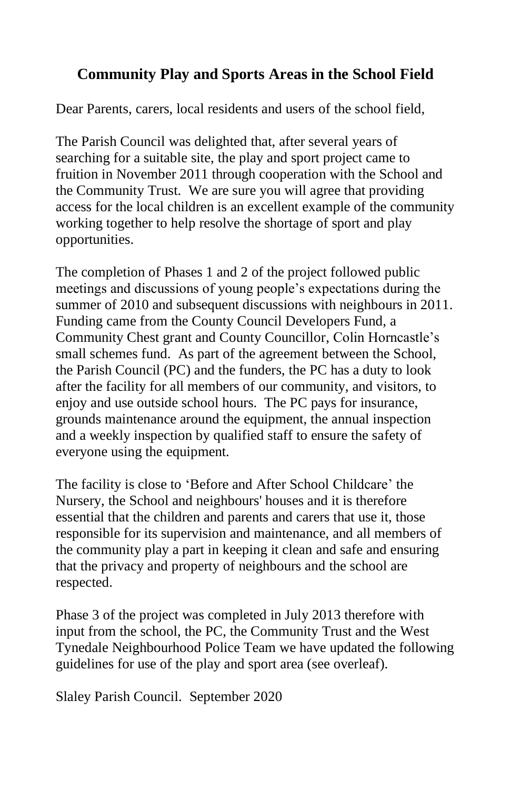# **Community Play and Sports Areas in the School Field**

Dear Parents, carers, local residents and users of the school field,

The Parish Council was delighted that, after several years of searching for a suitable site, the play and sport project came to fruition in November 2011 through cooperation with the School and the Community Trust. We are sure you will agree that providing access for the local children is an excellent example of the community working together to help resolve the shortage of sport and play opportunities.

The completion of Phases 1 and 2 of the project followed public meetings and discussions of young people's expectations during the summer of 2010 and subsequent discussions with neighbours in 2011. Funding came from the County Council Developers Fund, a Community Chest grant and County Councillor, Colin Horncastle's small schemes fund. As part of the agreement between the School, the Parish Council (PC) and the funders, the PC has a duty to look after the facility for all members of our community, and visitors, to enjoy and use outside school hours. The PC pays for insurance, grounds maintenance around the equipment, the annual inspection and a weekly inspection by qualified staff to ensure the safety of everyone using the equipment.

The facility is close to 'Before and After School Childcare' the Nursery, the School and neighbours' houses and it is therefore essential that the children and parents and carers that use it, those responsible for its supervision and maintenance, and all members of the community play a part in keeping it clean and safe and ensuring that the privacy and property of neighbours and the school are respected.

Phase 3 of the project was completed in July 2013 therefore with input from the school, the PC, the Community Trust and the West Tynedale Neighbourhood Police Team we have updated the following guidelines for use of the play and sport area (see overleaf).

Slaley Parish Council. September 2020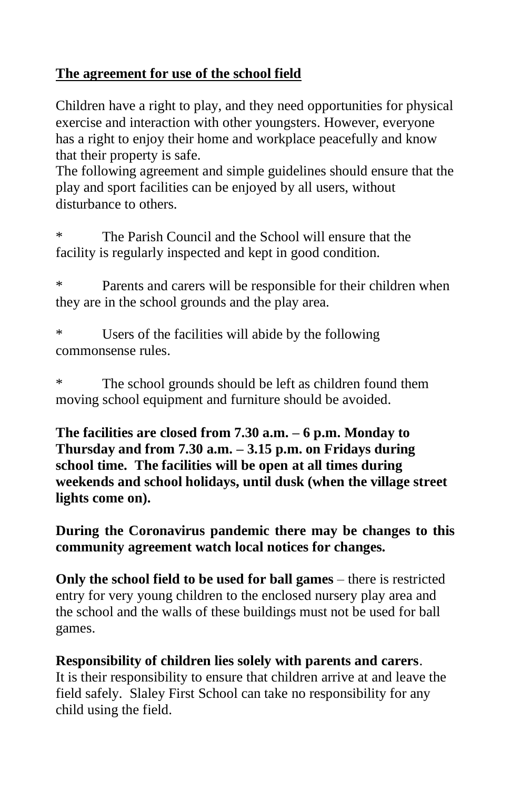# **The agreement for use of the school field**

Children have a right to play, and they need opportunities for physical exercise and interaction with other youngsters. However, everyone has a right to enjoy their home and workplace peacefully and know that their property is safe.

The following agreement and simple guidelines should ensure that the play and sport facilities can be enjoyed by all users, without disturbance to others.

\* The Parish Council and the School will ensure that the facility is regularly inspected and kept in good condition.

\* Parents and carers will be responsible for their children when they are in the school grounds and the play area.

\* Users of the facilities will abide by the following commonsense rules.

\* The school grounds should be left as children found them moving school equipment and furniture should be avoided.

**The facilities are closed from 7.30 a.m. – 6 p.m. Monday to Thursday and from 7.30 a.m. – 3.15 p.m. on Fridays during school time. The facilities will be open at all times during weekends and school holidays, until dusk (when the village street lights come on).**

**During the Coronavirus pandemic there may be changes to this community agreement watch local notices for changes.**

**Only the school field to be used for ball games** – there is restricted entry for very young children to the enclosed nursery play area and the school and the walls of these buildings must not be used for ball games.

**Responsibility of children lies solely with parents and carers**. It is their responsibility to ensure that children arrive at and leave the field safely. Slaley First School can take no responsibility for any child using the field.